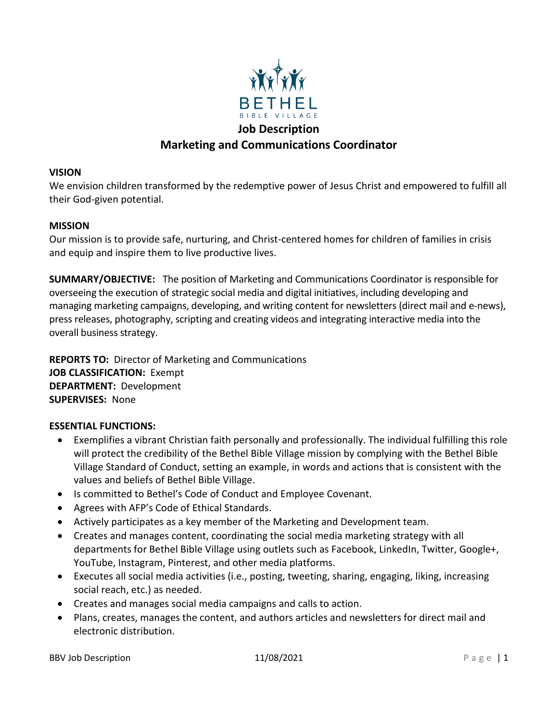

# **Marketing and Communications Coordinator**

#### **VISION**

We envision children transformed by the redemptive power of Jesus Christ and empowered to fulfill all their God-given potential.

#### **MISSION**

Our mission is to provide safe, nurturing, and Christ-centered homes for children of families in crisis and equip and inspire them to live productive lives.

**SUMMARY/OBJECTIVE:** The position of Marketing and Communications Coordinator is responsible for overseeing the execution of strategic social media and digital initiatives, including developing and managing marketing campaigns, developing, and writing content for newsletters (direct mail and e-news), press releases, photography, scripting and creating videos and integrating interactive media into the overall business strategy.

**REPORTS TO:** Director of Marketing and Communications **JOB CLASSIFICATION:** Exempt **DEPARTMENT:** Development **SUPERVISES:** None

### **ESSENTIAL FUNCTIONS:**

- Exemplifies a vibrant Christian faith personally and professionally. The individual fulfilling this role will protect the credibility of the Bethel Bible Village mission by complying with the Bethel Bible Village Standard of Conduct, setting an example, in words and actions that is consistent with the values and beliefs of Bethel Bible Village.
- Is committed to Bethel's Code of Conduct and Employee Covenant.
- Agrees with AFP's Code of Ethical Standards.
- Actively participates as a key member of the Marketing and Development team.
- Creates and manages content, coordinating the social media marketing strategy with all departments for Bethel Bible Village using outlets such as Facebook, LinkedIn, Twitter, Google+, YouTube, Instagram, Pinterest, and other media platforms.
- Executes all social media activities (i.e., posting, tweeting, sharing, engaging, liking, increasing social reach, etc.) as needed.
- Creates and manages social media campaigns and calls to action.
- Plans, creates, manages the content, and authors articles and newsletters for direct mail and electronic distribution.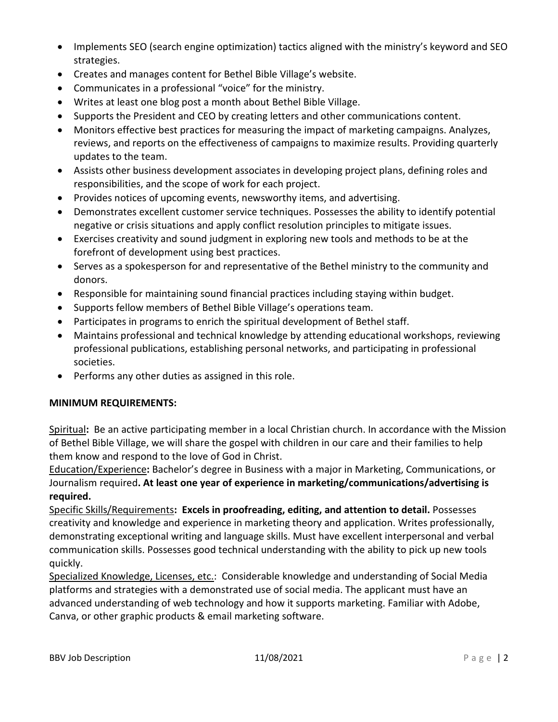- Implements SEO (search engine optimization) tactics aligned with the ministry's keyword and SEO strategies.
- Creates and manages content for Bethel Bible Village's website.
- Communicates in a professional "voice" for the ministry.
- Writes at least one blog post a month about Bethel Bible Village.
- Supports the President and CEO by creating letters and other communications content.
- Monitors effective best practices for measuring the impact of marketing campaigns. Analyzes, reviews, and reports on the effectiveness of campaigns to maximize results. Providing quarterly updates to the team.
- Assists other business development associates in developing project plans, defining roles and responsibilities, and the scope of work for each project.
- Provides notices of upcoming events, newsworthy items, and advertising.
- Demonstrates excellent customer service techniques. Possesses the ability to identify potential negative or crisis situations and apply conflict resolution principles to mitigate issues.
- Exercises creativity and sound judgment in exploring new tools and methods to be at the forefront of development using best practices.
- Serves as a spokesperson for and representative of the Bethel ministry to the community and donors.
- Responsible for maintaining sound financial practices including staying within budget.
- Supports fellow members of Bethel Bible Village's operations team.
- Participates in programs to enrich the spiritual development of Bethel staff.
- Maintains professional and technical knowledge by attending educational workshops, reviewing professional publications, establishing personal networks, and participating in professional societies.
- Performs any other duties as assigned in this role.

# **MINIMUM REQUIREMENTS:**

Spiritual**:** Be an active participating member in a local Christian church. In accordance with the Mission of Bethel Bible Village, we will share the gospel with children in our care and their families to help them know and respond to the love of God in Christ.

Education/Experience**:** Bachelor's degree in Business with a major in Marketing, Communications, or Journalism required**. At least one year of experience in marketing/communications/advertising is required.**

Specific Skills/Requirements**: Excels in proofreading, editing, and attention to detail.** Possesses creativity and knowledge and experience in marketing theory and application. Writes professionally, demonstrating exceptional writing and language skills. Must have excellent interpersonal and verbal communication skills. Possesses good technical understanding with the ability to pick up new tools quickly.

Specialized Knowledge, Licenses, etc.: Considerable knowledge and understanding of Social Media platforms and strategies with a demonstrated use of social media. The applicant must have an advanced understanding of web technology and how it supports marketing. Familiar with Adobe, Canva, or other graphic products & email marketing software.